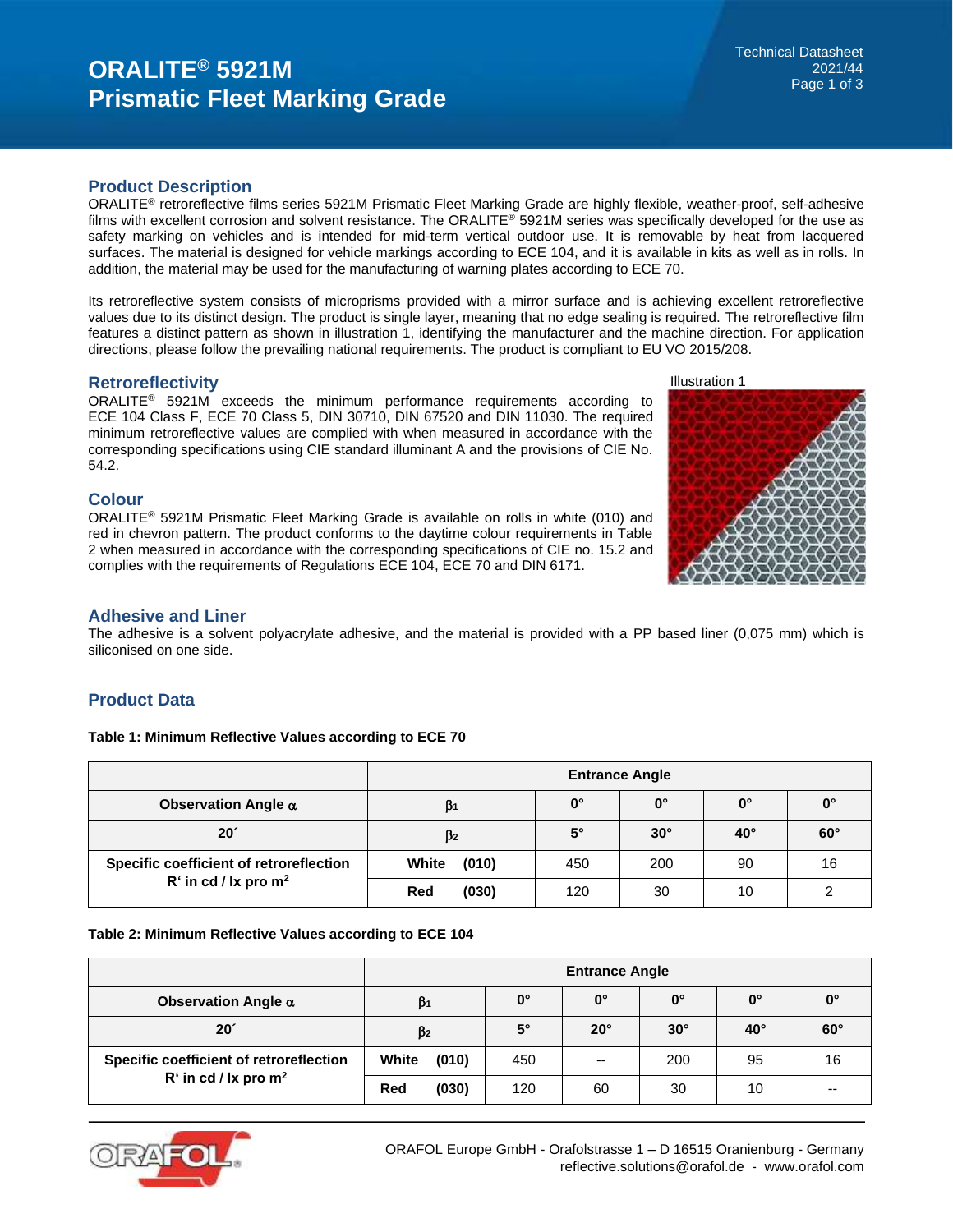## **Product Description**

ORALITE® retroreflective films series 5921M Prismatic Fleet Marking Grade are highly flexible, weather-proof, self-adhesive films with excellent corrosion and solvent resistance. The ORALITE® 5921M series was specifically developed for the use as safety marking on vehicles and is intended for mid-term vertical outdoor use. It is removable by heat from lacquered surfaces. The material is designed for vehicle markings according to ECE 104, and it is available in kits as well as in rolls. In addition, the material may be used for the manufacturing of warning plates according to ECE 70.

Its retroreflective system consists of microprisms provided with a mirror surface and is achieving excellent retroreflective values due to its distinct design. The product is single layer, meaning that no edge sealing is required. The retroreflective film features a distinct pattern as shown in illustration 1, identifying the manufacturer and the machine direction. For application directions, please follow the prevailing national requirements. The product is compliant to EU VO 2015/208.

## **Retroreflectivity**

ORALITE® 5921M exceeds the minimum performance requirements according to ECE 104 Class F, ECE 70 Class 5, DIN 30710, DIN 67520 and DIN 11030. The required minimum retroreflective values are complied with when measured in accordance with the corresponding specifications using CIE standard illuminant A and the provisions of CIE No. 54.2.

## **Colour**

ORALITE® 5921M Prismatic Fleet Marking Grade is available on rolls in white (010) and red in chevron pattern. The product conforms to the daytime colour requirements in Table 2 when measured in accordance with the corresponding specifications of CIE no. 15.2 and complies with the requirements of Regulations ECE 104, ECE 70 and DIN 6171.





## **Adhesive and Liner**

The adhesive is a solvent polyacrylate adhesive, and the material is provided with a PP based liner (0,075 mm) which is siliconised on one side.

# **Product Data**

#### **Table 1: Minimum Reflective Values according to ECE 70**

|                                         | <b>Entrance Angle</b> |                      |                      |                      |                      |  |  |
|-----------------------------------------|-----------------------|----------------------|----------------------|----------------------|----------------------|--|--|
| Observation Angle $\alpha$              | $\beta_1$             | $\mathbf{0}^{\circ}$ | $\mathbf{0}^{\circ}$ | $\mathbf{0}^{\circ}$ | $\mathbf{0}^{\circ}$ |  |  |
| $20^{\circ}$                            | $\beta$ <sub>2</sub>  | $5^{\circ}$          | $30^\circ$           | $40^\circ$           | $60^\circ$           |  |  |
| Specific coefficient of retroreflection | White<br>(010)        | 450                  | 200                  | 90                   | 16                   |  |  |
| $R'$ in cd / lx pro $m^2$               | (030)<br>Red          | 120                  | 30                   | 10                   |                      |  |  |

#### **Table 2: Minimum Reflective Values according to ECE 104**

|                                         | <b>Entrance Angle</b> |       |             |              |                      |              |             |  |
|-----------------------------------------|-----------------------|-------|-------------|--------------|----------------------|--------------|-------------|--|
| Observation Angle $\alpha$              | β1                    |       | $0^{\circ}$ | $0^{\circ}$  | $\mathbf{0}^{\circ}$ | $0^{\circ}$  | $0^{\circ}$ |  |
| 20 <sup>′</sup>                         | $\beta$ <sub>2</sub>  |       | $5^\circ$   | $20^{\circ}$ | $30^\circ$           | $40^{\circ}$ | $60^\circ$  |  |
| Specific coefficient of retroreflection | White                 | (010) | 450         | $- -$        | 200                  | 95           | 16          |  |
| $R'$ in cd / lx pro m <sup>2</sup>      | Red                   | (030) | 120         | 60           | 30                   | 10           | --          |  |

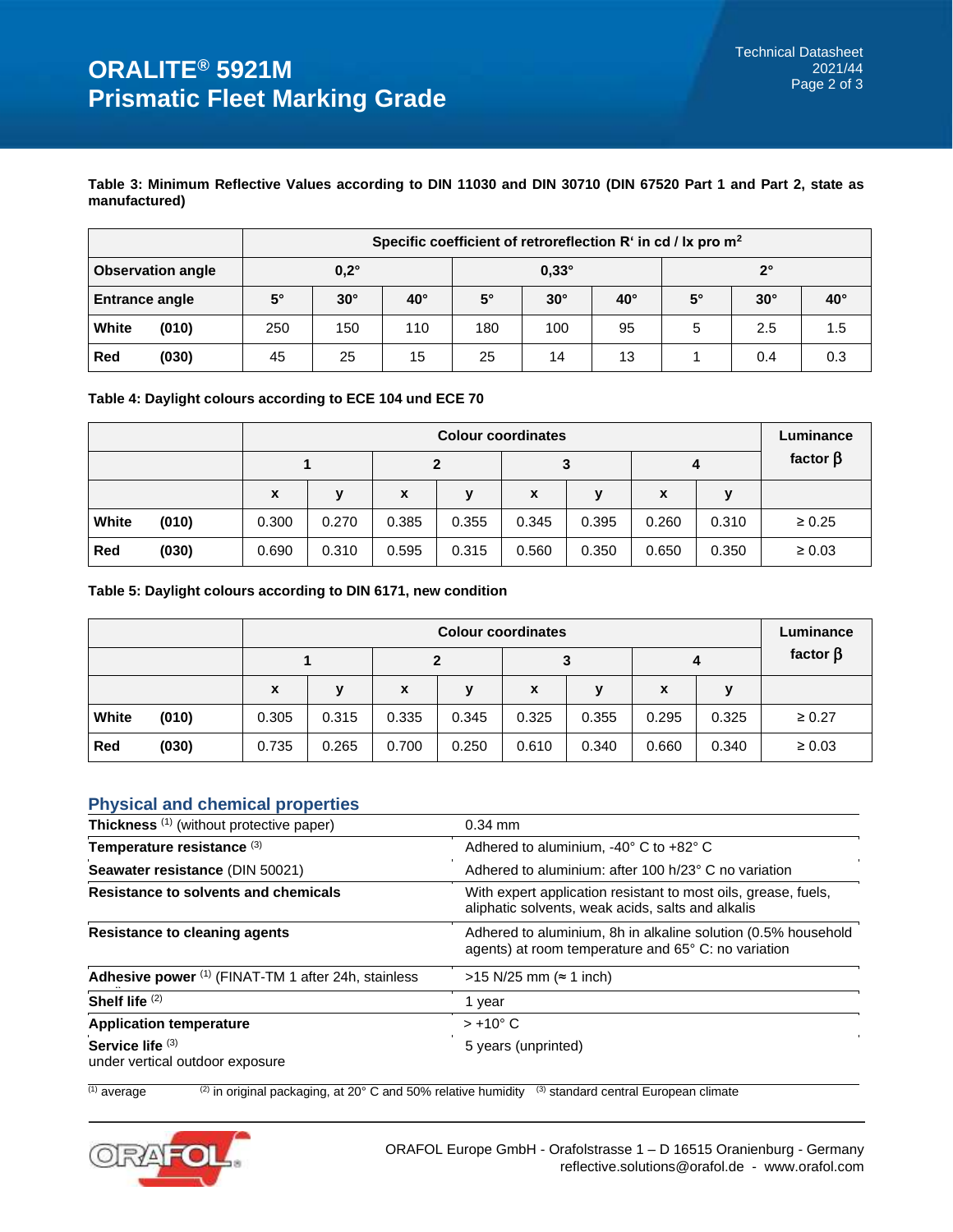## **Table 3: Minimum Reflective Values according to DIN 11030 and DIN 30710 (DIN 67520 Part 1 and Part 2, state as manufactured)**

|                       |                          | Specific coefficient of retroreflection $R^r$ in cd / $lx$ pro $m^2$ |                             |              |           |            |              |             |            |            |
|-----------------------|--------------------------|----------------------------------------------------------------------|-----------------------------|--------------|-----------|------------|--------------|-------------|------------|------------|
|                       | <b>Observation angle</b> |                                                                      | $0,2^\circ$<br>$0.33^\circ$ |              |           |            |              | $2^{\circ}$ |            |            |
| <b>Entrance angle</b> |                          | $5^\circ$                                                            | $30^\circ$                  | $40^{\circ}$ | $5^\circ$ | $30^\circ$ | $40^{\circ}$ | $5^{\circ}$ | $30^\circ$ | $40^\circ$ |
| White                 | (010)                    | 250                                                                  | 150                         | 110          | 180       | 100        | 95           | 5           | 2.5        | 1.5        |
| Red                   | (030)                    | 45                                                                   | 25                          | 15           | 25        | 14         | 13           |             | 0.4        | 0.3        |

## **Table 4: Daylight colours according to ECE 104 und ECE 70**

|       |       |              | Luminance |       |       |       |       |       |       |                |
|-------|-------|--------------|-----------|-------|-------|-------|-------|-------|-------|----------------|
|       |       |              |           |       |       | 3     |       | 4     |       | factor $\beta$ |
|       |       | $\mathbf{x}$ | v         | X     | v     | X     | v     | X     | v     |                |
| White | (010) | 0.300        | 0.270     | 0.385 | 0.355 | 0.345 | 0.395 | 0.260 | 0.310 | $\geq 0.25$    |
| Red   | (030) | 0.690        | 0.310     | 0.595 | 0.315 | 0.560 | 0.350 | 0.650 | 0.350 | $\geq 0.03$    |

### **Table 5: Daylight colours according to DIN 6171, new condition**

|       |       |             | <b>Colour coordinates</b> |       |       |       |       |       |       |                |  |
|-------|-------|-------------|---------------------------|-------|-------|-------|-------|-------|-------|----------------|--|
|       |       |             |                           |       |       | 3     |       | 4     |       | factor $\beta$ |  |
|       |       | $\mathbf x$ | v                         | X     | v     | X     | v     | X     | ν     |                |  |
| White | (010) | 0.305       | 0.315                     | 0.335 | 0.345 | 0.325 | 0.355 | 0.295 | 0.325 | $\geq 0.27$    |  |
| Red   | (030) | 0.735       | 0.265                     | 0.700 | 0.250 | 0.610 | 0.340 | 0.660 | 0.340 | $\geq 0.03$    |  |

# **Physical and chemical properties**

| Thickness <sup>(1)</sup> (without protective paper)   | $0.34$ mm                                                                                                            |
|-------------------------------------------------------|----------------------------------------------------------------------------------------------------------------------|
| Temperature resistance (3)                            | Adhered to aluminium, -40° C to +82° C                                                                               |
| Seawater resistance (DIN 50021)                       | Adhered to aluminium: after 100 h/23° C no variation                                                                 |
| Resistance to solvents and chemicals                  | With expert application resistant to most oils, grease, fuels,<br>aliphatic solvents, weak acids, salts and alkalis  |
| <b>Resistance to cleaning agents</b>                  | Adhered to aluminium, 8h in alkaline solution (0.5% household<br>agents) at room temperature and 65° C: no variation |
| Adhesive power (1) (FINAT-TM 1 after 24h, stainless   | >15 N/25 mm (≈ 1 inch)                                                                                               |
| Shelf life (2)                                        | 1 year                                                                                                               |
| <b>Application temperature</b>                        | $> +10^{\circ}$ C                                                                                                    |
| Service life $(3)$<br>under vertical outdoor exposure | 5 years (unprinted)                                                                                                  |

 $\frac{(1)}{(1)}$  average  $\frac{(2)}{(2)}$  in original packaging, at 20 $^{\circ}$  C and 50% relative humidity  $\frac{(3)}{(3)}$  standard central European climate